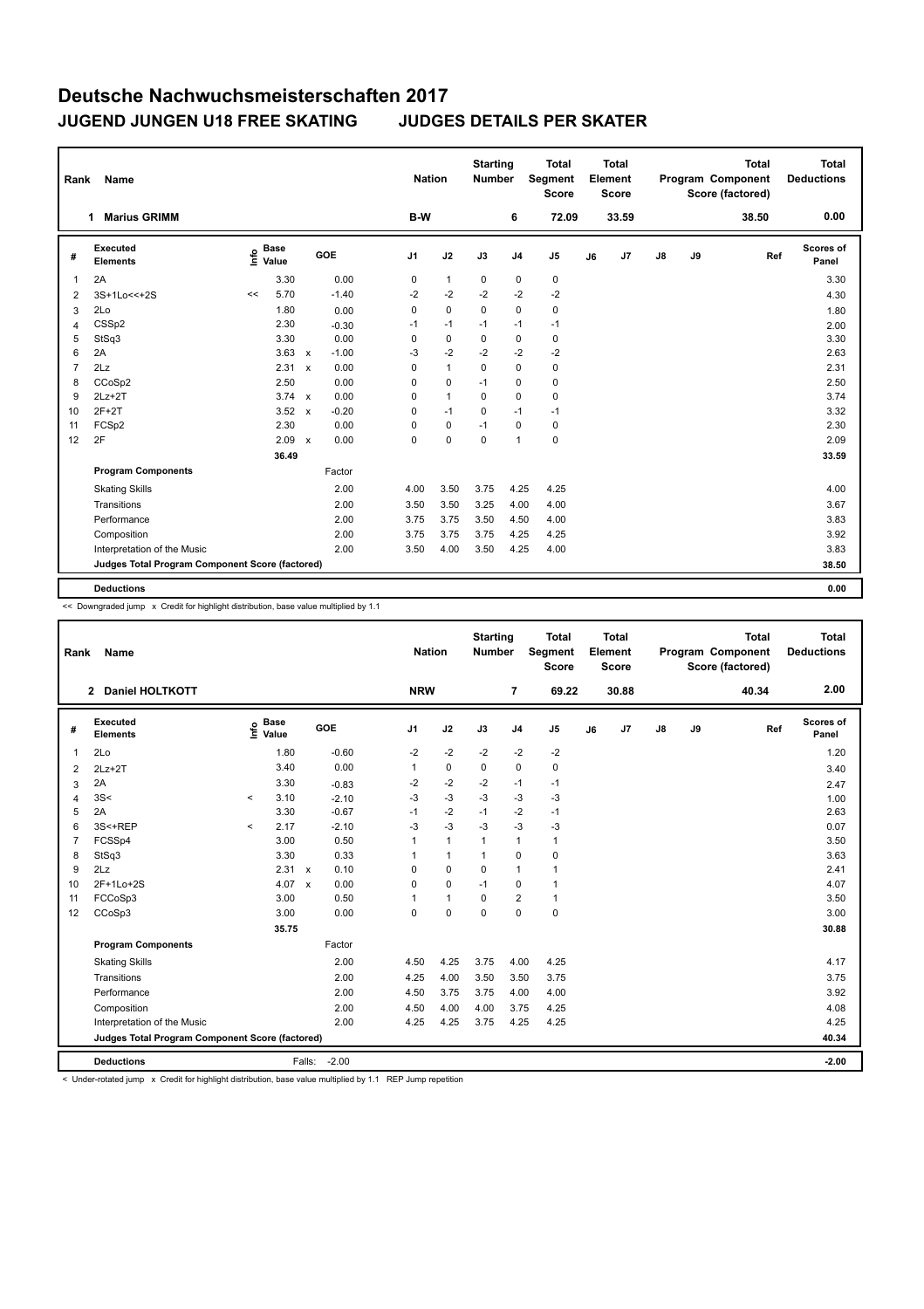## **Deutsche Nachwuchsmeisterschaften 2017 JUGEND JUNGEN U18 FREE SKATING JUDGES DETAILS PER SKATER**

| Rank | Name                                            |                              |              |         |             | <b>Nation</b> | <b>Starting</b><br><b>Number</b> |                | <b>Total</b><br>Segment<br><b>Score</b> |    | <b>Total</b><br>Element<br><b>Score</b> |               |    | <b>Total</b><br>Program Component<br>Score (factored) | <b>Total</b><br><b>Deductions</b> |
|------|-------------------------------------------------|------------------------------|--------------|---------|-------------|---------------|----------------------------------|----------------|-----------------------------------------|----|-----------------------------------------|---------------|----|-------------------------------------------------------|-----------------------------------|
|      | <b>Marius GRIMM</b><br>1                        |                              |              |         | B-W         |               |                                  | 6              | 72.09                                   |    | 33.59                                   |               |    | 38.50                                                 | 0.00                              |
| #    | <b>Executed</b><br><b>Elements</b>              | <b>Base</b><br>١nfo<br>Value |              | GOE     | J1          | J2            | J3                               | J <sub>4</sub> | J <sub>5</sub>                          | J6 | J7                                      | $\mathsf{J}8$ | J9 | Ref                                                   | Scores of<br>Panel                |
| 1    | 2A                                              | 3.30                         |              | 0.00    | 0           | $\mathbf{1}$  | 0                                | 0              | $\pmb{0}$                               |    |                                         |               |    |                                                       | 3.30                              |
| 2    | 3S+1Lo<<+2S                                     | 5.70<br><<                   |              | $-1.40$ | $-2$        | $-2$          | $-2$                             | $-2$           | $-2$                                    |    |                                         |               |    |                                                       | 4.30                              |
| 3    | 2Lo                                             | 1.80                         |              | 0.00    | 0           | $\mathbf 0$   | $\mathbf 0$                      | $\Omega$       | 0                                       |    |                                         |               |    |                                                       | 1.80                              |
| 4    | CSS <sub>p2</sub>                               | 2.30                         |              | $-0.30$ | $-1$        | $-1$          | $-1$                             | $-1$           | $-1$                                    |    |                                         |               |    |                                                       | 2.00                              |
| 5    | StSq3                                           | 3.30                         |              | 0.00    | 0           | $\mathbf 0$   | $\pmb{0}$                        | 0              | 0                                       |    |                                         |               |    |                                                       | 3.30                              |
| 6    | 2A                                              | 3.63                         | $\mathsf{x}$ | $-1.00$ | $-3$        | $-2$          | $-2$                             | $-2$           | $-2$                                    |    |                                         |               |    |                                                       | 2.63                              |
| 7    | 2Lz                                             | 2.31                         | $\mathbf{x}$ | 0.00    | $\mathbf 0$ | $\mathbf{1}$  | $\Omega$                         | $\Omega$       | 0                                       |    |                                         |               |    |                                                       | 2.31                              |
| 8    | CCoSp2                                          | 2.50                         |              | 0.00    | $\Omega$    | $\mathbf 0$   | $-1$                             | $\Omega$       | 0                                       |    |                                         |               |    |                                                       | 2.50                              |
| 9    | $2Lz+2T$                                        | 3.74 $\times$                |              | 0.00    | 0           | $\mathbf{1}$  | $\mathbf 0$                      | 0              | 0                                       |    |                                         |               |    |                                                       | 3.74                              |
| 10   | $2F+2T$                                         | 3.52                         | $\mathsf{x}$ | $-0.20$ | $\mathbf 0$ | $-1$          | $\mathbf 0$                      | $-1$           | $-1$                                    |    |                                         |               |    |                                                       | 3.32                              |
| 11   | FCSp2                                           | 2.30                         |              | 0.00    | $\mathbf 0$ | $\mathbf 0$   | $-1$                             | $\mathbf 0$    | 0                                       |    |                                         |               |    |                                                       | 2.30                              |
| 12   | 2F                                              | 2.09                         | $\mathsf{x}$ | 0.00    | $\mathbf 0$ | $\mathbf 0$   | $\mathbf 0$                      | 1              | $\mathbf 0$                             |    |                                         |               |    |                                                       | 2.09                              |
|      |                                                 | 36.49                        |              |         |             |               |                                  |                |                                         |    |                                         |               |    |                                                       | 33.59                             |
|      | <b>Program Components</b>                       |                              |              | Factor  |             |               |                                  |                |                                         |    |                                         |               |    |                                                       |                                   |
|      | <b>Skating Skills</b>                           |                              |              | 2.00    | 4.00        | 3.50          | 3.75                             | 4.25           | 4.25                                    |    |                                         |               |    |                                                       | 4.00                              |
|      | Transitions                                     |                              |              | 2.00    | 3.50        | 3.50          | 3.25                             | 4.00           | 4.00                                    |    |                                         |               |    |                                                       | 3.67                              |
|      | Performance                                     |                              |              | 2.00    | 3.75        | 3.75          | 3.50                             | 4.50           | 4.00                                    |    |                                         |               |    |                                                       | 3.83                              |
|      | Composition                                     |                              |              | 2.00    | 3.75        | 3.75          | 3.75                             | 4.25           | 4.25                                    |    |                                         |               |    |                                                       | 3.92                              |
|      | Interpretation of the Music                     |                              |              | 2.00    | 3.50        | 4.00          | 3.50                             | 4.25           | 4.00                                    |    |                                         |               |    |                                                       | 3.83                              |
|      | Judges Total Program Component Score (factored) |                              |              |         |             |               |                                  |                |                                         |    |                                         |               |    |                                                       | 38.50                             |
|      |                                                 |                              |              |         |             |               |                                  |                |                                         |    |                                         |               |    |                                                       |                                   |
|      | <b>Deductions</b>                               |                              |              |         |             |               |                                  |                |                                         |    |                                         |               |    |                                                       | 0.00                              |

<< Downgraded jump x Credit for highlight distribution, base value multiplied by 1.1

| Rank           | Name                                            |         |                                  |              |         |                | <b>Nation</b> | <b>Starting</b><br><b>Number</b> |                | <b>Total</b><br>Segment<br><b>Score</b> |    | <b>Total</b><br>Element<br><b>Score</b> |               |    | <b>Total</b><br>Program Component<br>Score (factored) | <b>Total</b><br><b>Deductions</b> |
|----------------|-------------------------------------------------|---------|----------------------------------|--------------|---------|----------------|---------------|----------------------------------|----------------|-----------------------------------------|----|-----------------------------------------|---------------|----|-------------------------------------------------------|-----------------------------------|
|                | <b>Daniel HOLTKOTT</b><br>$\mathbf{2}$          |         |                                  |              |         | <b>NRW</b>     |               |                                  | $\overline{7}$ | 69.22                                   |    | 30.88                                   |               |    | 40.34                                                 | 2.00                              |
| #              | Executed<br><b>Elements</b>                     |         | <b>Base</b><br>e Base<br>⊆ Value |              | GOE     | J <sub>1</sub> | J2            | J3                               | J <sub>4</sub> | J <sub>5</sub>                          | J6 | J7                                      | $\mathsf{J}8$ | J9 | Ref                                                   | <b>Scores of</b><br>Panel         |
| 1              | 2Lo                                             |         | 1.80                             |              | $-0.60$ | $-2$           | $-2$          | $-2$                             | $-2$           | -2                                      |    |                                         |               |    |                                                       | 1.20                              |
| 2              | $2Lz+2T$                                        |         | 3.40                             |              | 0.00    | $\mathbf{1}$   | $\pmb{0}$     | $\mathbf 0$                      | $\pmb{0}$      | 0                                       |    |                                         |               |    |                                                       | 3.40                              |
| 3              | 2A                                              |         | 3.30                             |              | $-0.83$ | -2             | $-2$          | $-2$                             | $-1$           | $-1$                                    |    |                                         |               |    |                                                       | 2.47                              |
| 4              | 3S<                                             | $\prec$ | 3.10                             |              | $-2.10$ | $-3$           | $-3$          | $-3$                             | $-3$           | $-3$                                    |    |                                         |               |    |                                                       | 1.00                              |
| 5              | 2A                                              |         | 3.30                             |              | $-0.67$ | $-1$           | $-2$          | $-1$                             | $-2$           | $-1$                                    |    |                                         |               |    |                                                       | 2.63                              |
| 6              | 3S<+REP                                         | $\prec$ | 2.17                             |              | $-2.10$ | $-3$           | $-3$          | $-3$                             | $-3$           | $-3$                                    |    |                                         |               |    |                                                       | 0.07                              |
| $\overline{7}$ | FCSSp4                                          |         | 3.00                             |              | 0.50    | $\mathbf{1}$   | $\mathbf{1}$  | $\overline{1}$                   | $\mathbf{1}$   | $\mathbf{1}$                            |    |                                         |               |    |                                                       | 3.50                              |
| 8              | StSq3                                           |         | 3.30                             |              | 0.33    | 1              | $\mathbf{1}$  | $\overline{1}$                   | $\mathbf 0$    | 0                                       |    |                                         |               |    |                                                       | 3.63                              |
| 9              | 2Lz                                             |         | $2.31 \times$                    |              | 0.10    | $\Omega$       | $\mathbf 0$   | $\Omega$                         | $\mathbf{1}$   | $\mathbf{1}$                            |    |                                         |               |    |                                                       | 2.41                              |
| 10             | 2F+1Lo+2S                                       |         | 4.07                             | $\mathsf{x}$ | 0.00    | 0              | $\mathbf 0$   | $-1$                             | $\mathbf 0$    | $\mathbf{1}$                            |    |                                         |               |    |                                                       | 4.07                              |
| 11             | FCCoSp3                                         |         | 3.00                             |              | 0.50    | 1              | $\mathbf{1}$  | $\mathbf 0$                      | $\overline{2}$ | $\mathbf{1}$                            |    |                                         |               |    |                                                       | 3.50                              |
| 12             | CCoSp3                                          |         | 3.00                             |              | 0.00    | 0              | $\mathbf 0$   | $\mathbf 0$                      | $\mathbf 0$    | $\mathbf 0$                             |    |                                         |               |    |                                                       | 3.00                              |
|                |                                                 |         | 35.75                            |              |         |                |               |                                  |                |                                         |    |                                         |               |    |                                                       | 30.88                             |
|                | <b>Program Components</b>                       |         |                                  |              | Factor  |                |               |                                  |                |                                         |    |                                         |               |    |                                                       |                                   |
|                | <b>Skating Skills</b>                           |         |                                  |              | 2.00    | 4.50           | 4.25          | 3.75                             | 4.00           | 4.25                                    |    |                                         |               |    |                                                       | 4.17                              |
|                | Transitions                                     |         |                                  |              | 2.00    | 4.25           | 4.00          | 3.50                             | 3.50           | 3.75                                    |    |                                         |               |    |                                                       | 3.75                              |
|                | Performance                                     |         |                                  |              | 2.00    | 4.50           | 3.75          | 3.75                             | 4.00           | 4.00                                    |    |                                         |               |    |                                                       | 3.92                              |
|                | Composition                                     |         |                                  |              | 2.00    | 4.50           | 4.00          | 4.00                             | 3.75           | 4.25                                    |    |                                         |               |    |                                                       | 4.08                              |
|                | Interpretation of the Music                     |         |                                  |              | 2.00    | 4.25           | 4.25          | 3.75                             | 4.25           | 4.25                                    |    |                                         |               |    |                                                       | 4.25                              |
|                | Judges Total Program Component Score (factored) |         |                                  |              |         |                |               |                                  |                |                                         |    |                                         |               |    |                                                       | 40.34                             |
|                | <b>Deductions</b>                               |         |                                  | Falls:       | $-2.00$ |                |               |                                  |                |                                         |    |                                         |               |    |                                                       | $-2.00$                           |

< Under-rotated jump x Credit for highlight distribution, base value multiplied by 1.1 REP Jump repetition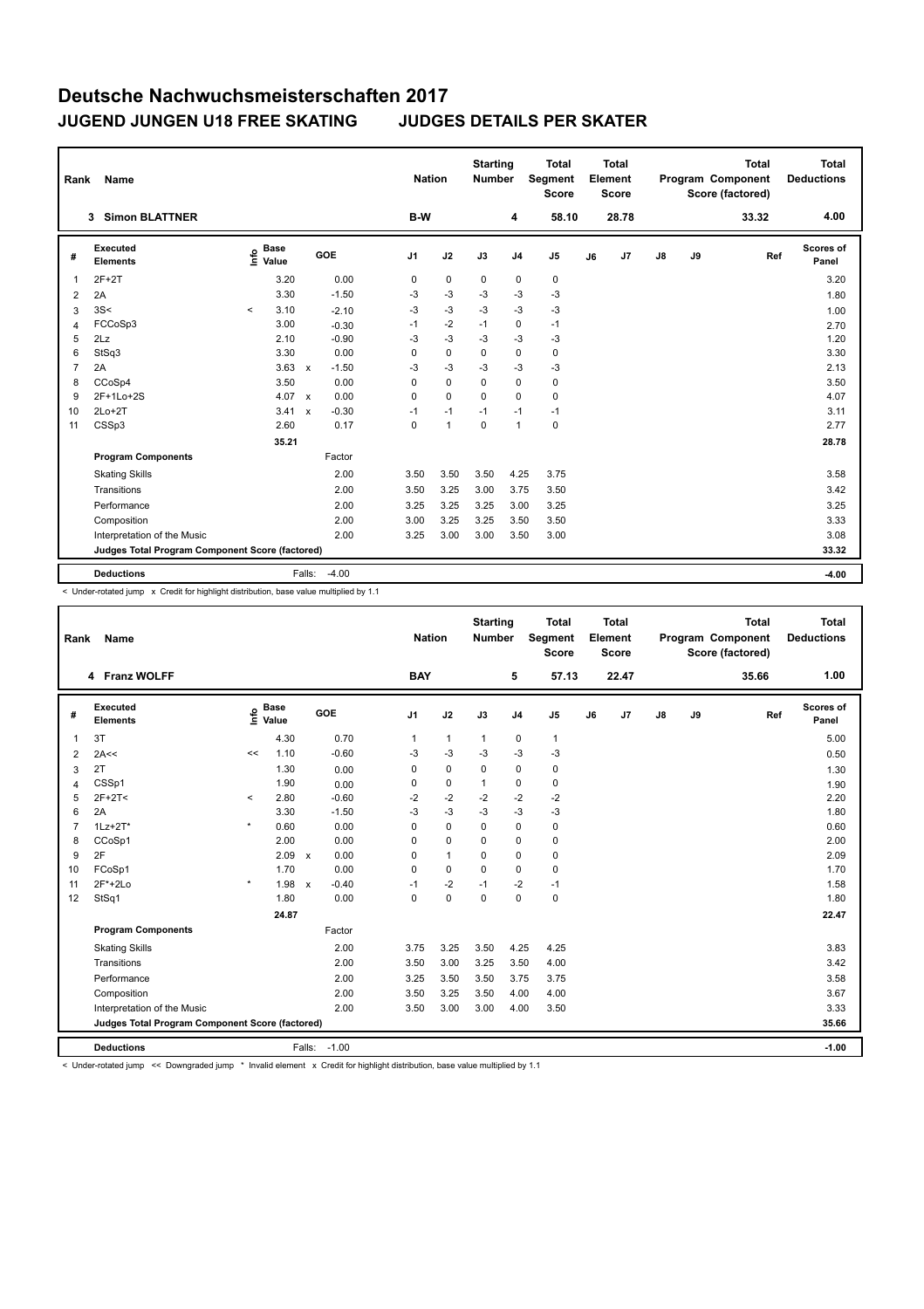## **Deutsche Nachwuchsmeisterschaften 2017 JUGEND JUNGEN U18 FREE SKATING JUDGES DETAILS PER SKATER**

| Rank           | Name                                            |         |                      |                           |         |    | <b>Nation</b> |              | <b>Starting</b><br><b>Number</b> |                | <b>Total</b><br>Segment<br>Score |    | Total<br>Element<br><b>Score</b> |    |    | <b>Total</b><br>Program Component<br>Score (factored) | Total<br><b>Deductions</b> |
|----------------|-------------------------------------------------|---------|----------------------|---------------------------|---------|----|---------------|--------------|----------------------------------|----------------|----------------------------------|----|----------------------------------|----|----|-------------------------------------------------------|----------------------------|
|                | <b>Simon BLATTNER</b><br>3                      |         |                      |                           |         |    | B-W           |              |                                  | 4              | 58.10                            |    | 28.78                            |    |    | 33.32                                                 | 4.00                       |
| #              | <b>Executed</b><br><b>Elements</b>              | ۴ê      | <b>Base</b><br>Value |                           | GOE     | J1 |               | J2           | J3                               | J <sub>4</sub> | J <sub>5</sub>                   | J6 | J7                               | J8 | J9 | Ref                                                   | Scores of<br>Panel         |
| 1              | $2F+2T$                                         |         | 3.20                 |                           | 0.00    |    | 0             | $\mathbf 0$  | $\mathbf 0$                      | 0              | $\pmb{0}$                        |    |                                  |    |    |                                                       | 3.20                       |
| 2              | 2A                                              |         | 3.30                 |                           | $-1.50$ |    | -3            | $-3$         | $-3$                             | -3             | $-3$                             |    |                                  |    |    |                                                       | 1.80                       |
| 3              | 3S<                                             | $\prec$ | 3.10                 |                           | $-2.10$ |    | $-3$          | $-3$         | $-3$                             | $-3$           | -3                               |    |                                  |    |    |                                                       | 1.00                       |
| $\overline{4}$ | FCCoSp3                                         |         | 3.00                 |                           | $-0.30$ |    | $-1$          | $-2$         | $-1$                             | 0              | $-1$                             |    |                                  |    |    |                                                       | 2.70                       |
| 5              | 2Lz                                             |         | 2.10                 |                           | $-0.90$ |    | $-3$          | $-3$         | $-3$                             | -3             | -3                               |    |                                  |    |    |                                                       | 1.20                       |
| 6              | StSq3                                           |         | 3.30                 |                           | 0.00    |    | 0             | $\mathbf 0$  | 0                                | 0              | 0                                |    |                                  |    |    |                                                       | 3.30                       |
| $\overline{7}$ | 2A                                              |         | 3.63                 | $\mathsf{x}$              | $-1.50$ |    | $-3$          | $-3$         | $-3$                             | $-3$           | $-3$                             |    |                                  |    |    |                                                       | 2.13                       |
| 8              | CCoSp4                                          |         | 3.50                 |                           | 0.00    |    | 0             | $\Omega$     | $\Omega$                         | $\mathbf 0$    | 0                                |    |                                  |    |    |                                                       | 3.50                       |
| 9              | 2F+1Lo+2S                                       |         | 4.07                 | $\mathbf{x}$              | 0.00    |    | 0             | $\Omega$     | $\Omega$                         | $\Omega$       | 0                                |    |                                  |    |    |                                                       | 4.07                       |
| 10             | $2Lo+2T$                                        |         | 3.41                 | $\boldsymbol{\mathsf{x}}$ | $-0.30$ |    | $-1$          | $-1$         | $-1$                             | $-1$           | $-1$                             |    |                                  |    |    |                                                       | 3.11                       |
| 11             | CSSp3                                           |         | 2.60                 |                           | 0.17    |    | 0             | $\mathbf{1}$ | $\mathbf 0$                      | $\mathbf{1}$   | $\pmb{0}$                        |    |                                  |    |    |                                                       | 2.77                       |
|                |                                                 |         | 35.21                |                           |         |    |               |              |                                  |                |                                  |    |                                  |    |    |                                                       | 28.78                      |
|                | <b>Program Components</b>                       |         |                      |                           | Factor  |    |               |              |                                  |                |                                  |    |                                  |    |    |                                                       |                            |
|                | <b>Skating Skills</b>                           |         |                      |                           | 2.00    |    | 3.50          | 3.50         | 3.50                             | 4.25           | 3.75                             |    |                                  |    |    |                                                       | 3.58                       |
|                | Transitions                                     |         |                      |                           | 2.00    |    | 3.50          | 3.25         | 3.00                             | 3.75           | 3.50                             |    |                                  |    |    |                                                       | 3.42                       |
|                | Performance                                     |         |                      |                           | 2.00    |    | 3.25          | 3.25         | 3.25                             | 3.00           | 3.25                             |    |                                  |    |    |                                                       | 3.25                       |
|                | Composition                                     |         |                      |                           | 2.00    |    | 3.00          | 3.25         | 3.25                             | 3.50           | 3.50                             |    |                                  |    |    |                                                       | 3.33                       |
|                | Interpretation of the Music                     |         |                      |                           | 2.00    |    | 3.25          | 3.00         | 3.00                             | 3.50           | 3.00                             |    |                                  |    |    |                                                       | 3.08                       |
|                | Judges Total Program Component Score (factored) |         |                      |                           |         |    |               |              |                                  |                |                                  |    |                                  |    |    |                                                       | 33.32                      |
|                | <b>Deductions</b>                               |         |                      | Falls:                    | $-4.00$ |    |               |              |                                  |                |                                  |    |                                  |    |    |                                                       | $-4.00$                    |

< Under-rotated jump x Credit for highlight distribution, base value multiplied by 1.1

| Rank           | <b>Name</b>                                     |         |                      |              |              |              | <b>Nation</b>  | <b>Starting</b><br><b>Number</b> |                | <b>Total</b><br>Segment<br><b>Score</b> |    | Total<br>Element<br><b>Score</b> |    |    | <b>Total</b><br>Program Component<br>Score (factored) | Total<br><b>Deductions</b> |
|----------------|-------------------------------------------------|---------|----------------------|--------------|--------------|--------------|----------------|----------------------------------|----------------|-----------------------------------------|----|----------------------------------|----|----|-------------------------------------------------------|----------------------------|
|                | 4 Franz WOLFF                                   |         |                      |              |              | <b>BAY</b>   |                |                                  | 5              | 57.13                                   |    | 22.47                            |    |    | 35.66                                                 | 1.00                       |
| #              | Executed<br><b>Elements</b>                     | lnfo    | <b>Base</b><br>Value |              | GOE          | J1           | J2             | J3                               | J <sub>4</sub> | J <sub>5</sub>                          | J6 | J7                               | J8 | J9 | Ref                                                   | Scores of<br>Panel         |
| 1              | 3T                                              |         | 4.30                 |              | 0.70         | $\mathbf{1}$ | $\mathbf{1}$   | $\mathbf{1}$                     | $\mathbf 0$    | $\mathbf{1}$                            |    |                                  |    |    |                                                       | 5.00                       |
| 2              | 2A<<                                            | <<      | 1.10                 |              | $-0.60$      | -3           | $-3$           | $-3$                             | $-3$           | $-3$                                    |    |                                  |    |    |                                                       | 0.50                       |
| 3              | 2T                                              |         | 1.30                 |              | 0.00         | 0            | $\mathbf 0$    | $\mathbf 0$                      | $\mathbf 0$    | $\mathbf 0$                             |    |                                  |    |    |                                                       | 1.30                       |
| 4              | CSSp1                                           |         | 1.90                 |              | 0.00         | 0            | $\mathbf 0$    | $\mathbf{1}$                     | $\mathbf 0$    | $\mathbf 0$                             |    |                                  |    |    |                                                       | 1.90                       |
| 5              | $2F+2T2$                                        | $\,<$   | 2.80                 |              | $-0.60$      | $-2$         | $-2$           | $-2$                             | $-2$           | -2                                      |    |                                  |    |    |                                                       | 2.20                       |
| 6              | 2A                                              |         | 3.30                 |              | $-1.50$      | $-3$         | $-3$           | $-3$                             | $-3$           | $-3$                                    |    |                                  |    |    |                                                       | 1.80                       |
| $\overline{7}$ | $1Lz + 2T^*$                                    | $\star$ | 0.60                 |              | 0.00         | 0            | $\Omega$       | $\Omega$                         | $\mathbf 0$    | $\mathbf 0$                             |    |                                  |    |    |                                                       | 0.60                       |
| 8              | CCoSp1                                          |         | 2.00                 |              | 0.00         | 0            | $\mathbf 0$    | $\Omega$                         | $\mathbf 0$    | $\mathbf 0$                             |    |                                  |    |    |                                                       | 2.00                       |
| 9              | 2F                                              |         | 2.09                 | $\mathbf{x}$ | 0.00         | 0            | $\overline{1}$ | $\Omega$                         | $\Omega$       | $\mathbf 0$                             |    |                                  |    |    |                                                       | 2.09                       |
| 10             | FCoSp1                                          |         | 1.70                 |              | 0.00         | 0            | $\Omega$       | $\Omega$                         | 0              | $\mathbf 0$                             |    |                                  |    |    |                                                       | 1.70                       |
| 11             | $2F*+2Lo$                                       | $\star$ | 1.98                 | $\mathsf{x}$ | $-0.40$      | $-1$         | $-2$           | $-1$                             | $-2$           | $-1$                                    |    |                                  |    |    |                                                       | 1.58                       |
| 12             | StSq1                                           |         | 1.80                 |              | 0.00         | 0            | $\mathbf 0$    | $\Omega$                         | $\Omega$       | $\mathbf 0$                             |    |                                  |    |    |                                                       | 1.80                       |
|                |                                                 |         | 24.87                |              |              |              |                |                                  |                |                                         |    |                                  |    |    |                                                       | 22.47                      |
|                | <b>Program Components</b>                       |         |                      |              | Factor       |              |                |                                  |                |                                         |    |                                  |    |    |                                                       |                            |
|                | <b>Skating Skills</b>                           |         |                      |              | 2.00         | 3.75         | 3.25           | 3.50                             | 4.25           | 4.25                                    |    |                                  |    |    |                                                       | 3.83                       |
|                | Transitions                                     |         |                      |              | 2.00         | 3.50         | 3.00           | 3.25                             | 3.50           | 4.00                                    |    |                                  |    |    |                                                       | 3.42                       |
|                | Performance                                     |         |                      |              | 2.00         | 3.25         | 3.50           | 3.50                             | 3.75           | 3.75                                    |    |                                  |    |    |                                                       | 3.58                       |
|                | Composition                                     |         |                      |              | 2.00         | 3.50         | 3.25           | 3.50                             | 4.00           | 4.00                                    |    |                                  |    |    |                                                       | 3.67                       |
|                | Interpretation of the Music                     |         |                      |              | 2.00         | 3.50         | 3.00           | 3.00                             | 4.00           | 3.50                                    |    |                                  |    |    |                                                       | 3.33                       |
|                | Judges Total Program Component Score (factored) |         |                      |              |              |              |                |                                  |                |                                         |    | 35.66                            |    |    |                                                       |                            |
|                | <b>Deductions</b>                               |         |                      |              | Falls: -1.00 |              |                |                                  |                |                                         |    |                                  |    |    |                                                       | $-1.00$                    |

< Under-rotated jump << Downgraded jump \* Invalid element x Credit for highlight distribution, base value multiplied by 1.1